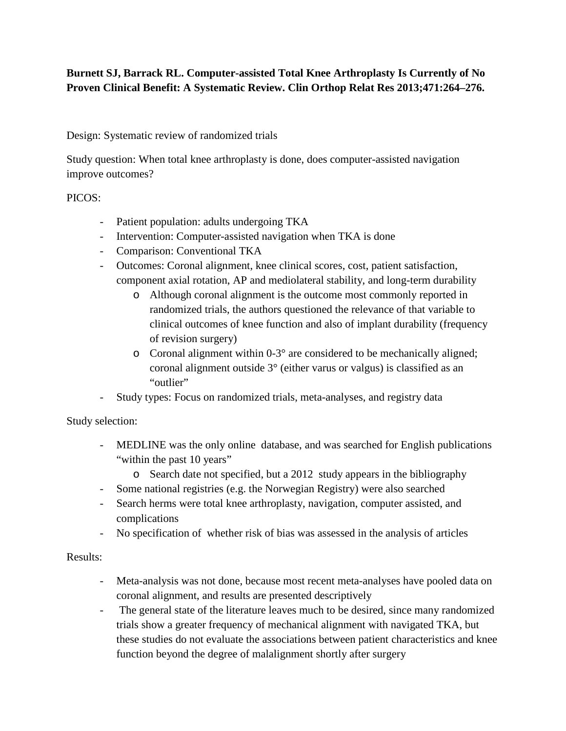## **Burnett SJ, Barrack RL. Computer-assisted Total Knee Arthroplasty Is Currently of No Proven Clinical Benefit: A Systematic Review. Clin Orthop Relat Res 2013;471:264–276.**

Design: Systematic review of randomized trials

Study question: When total knee arthroplasty is done, does computer-assisted navigation improve outcomes?

PICOS:

- Patient population: adults undergoing TKA
- Intervention: Computer-assisted navigation when TKA is done
- Comparison: Conventional TKA
- Outcomes: Coronal alignment, knee clinical scores, cost, patient satisfaction, component axial rotation, AP and mediolateral stability, and long-term durability
	- o Although coronal alignment is the outcome most commonly reported in randomized trials, the authors questioned the relevance of that variable to clinical outcomes of knee function and also of implant durability (frequency of revision surgery)
	- o Coronal alignment within 0-3° are considered to be mechanically aligned; coronal alignment outside 3° (either varus or valgus) is classified as an "outlier"
- Study types: Focus on randomized trials, meta-analyses, and registry data

Study selection:

- MEDLINE was the only online database, and was searched for English publications "within the past 10 years"
	- o Search date not specified, but a 2012 study appears in the bibliography
- Some national registries (e.g. the Norwegian Registry) were also searched
- Search herms were total knee arthroplasty, navigation, computer assisted, and complications
- No specification of whether risk of bias was assessed in the analysis of articles

Results:

- Meta-analysis was not done, because most recent meta-analyses have pooled data on coronal alignment, and results are presented descriptively
- The general state of the literature leaves much to be desired, since many randomized trials show a greater frequency of mechanical alignment with navigated TKA, but these studies do not evaluate the associations between patient characteristics and knee function beyond the degree of malalignment shortly after surgery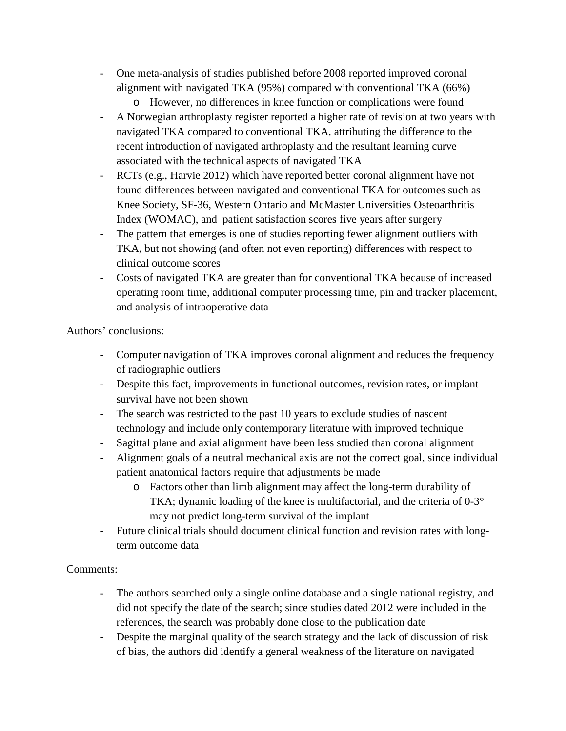- One meta-analysis of studies published before 2008 reported improved coronal alignment with navigated TKA (95%) compared with conventional TKA (66%)
	- o However, no differences in knee function or complications were found
- A Norwegian arthroplasty register reported a higher rate of revision at two years with navigated TKA compared to conventional TKA, attributing the difference to the recent introduction of navigated arthroplasty and the resultant learning curve associated with the technical aspects of navigated TKA
- RCTs (e.g., Harvie 2012) which have reported better coronal alignment have not found differences between navigated and conventional TKA for outcomes such as Knee Society, SF-36, Western Ontario and McMaster Universities Osteoarthritis Index (WOMAC), and patient satisfaction scores five years after surgery
- The pattern that emerges is one of studies reporting fewer alignment outliers with TKA, but not showing (and often not even reporting) differences with respect to clinical outcome scores
- Costs of navigated TKA are greater than for conventional TKA because of increased operating room time, additional computer processing time, pin and tracker placement, and analysis of intraoperative data

Authors' conclusions:

- Computer navigation of TKA improves coronal alignment and reduces the frequency of radiographic outliers
- Despite this fact, improvements in functional outcomes, revision rates, or implant survival have not been shown
- The search was restricted to the past 10 years to exclude studies of nascent technology and include only contemporary literature with improved technique
- Sagittal plane and axial alignment have been less studied than coronal alignment
- Alignment goals of a neutral mechanical axis are not the correct goal, since individual patient anatomical factors require that adjustments be made
	- o Factors other than limb alignment may affect the long-term durability of TKA; dynamic loading of the knee is multifactorial, and the criteria of 0-3° may not predict long-term survival of the implant
- Future clinical trials should document clinical function and revision rates with longterm outcome data

## Comments:

- The authors searched only a single online database and a single national registry, and did not specify the date of the search; since studies dated 2012 were included in the references, the search was probably done close to the publication date
- Despite the marginal quality of the search strategy and the lack of discussion of risk of bias, the authors did identify a general weakness of the literature on navigated